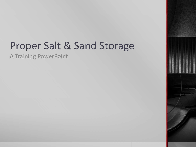## Proper Salt & Sand Storage

A Training PowerPoint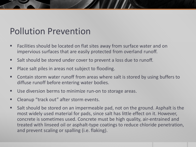## Pollution Prevention

- Facilities should be located on flat sites away from surface water and on impervious surfaces that are easily protected from overland runoff.
- Salt should be stored under cover to prevent a loss due to runoff.
- **Place salt piles in areas not subject to flooding.**
- Contain storm water runoff from areas where salt is stored by using buffers to diffuse runoff before entering water bodies.
- Use diversion berms to minimize run-on to storage areas.
- **EXEC** Cleanup "track out" after storm events.
- Salt should be stored on an impermeable pad, not on the ground. Asphalt is the most widely used material for pads, since salt has little effect on it. However, concrete is sometimes used. Concrete must be high quality, air-entrained and treated with linseed oil or asphalt-type coatings to reduce chloride penetration, and prevent scaling or spalling (i.e. flaking).